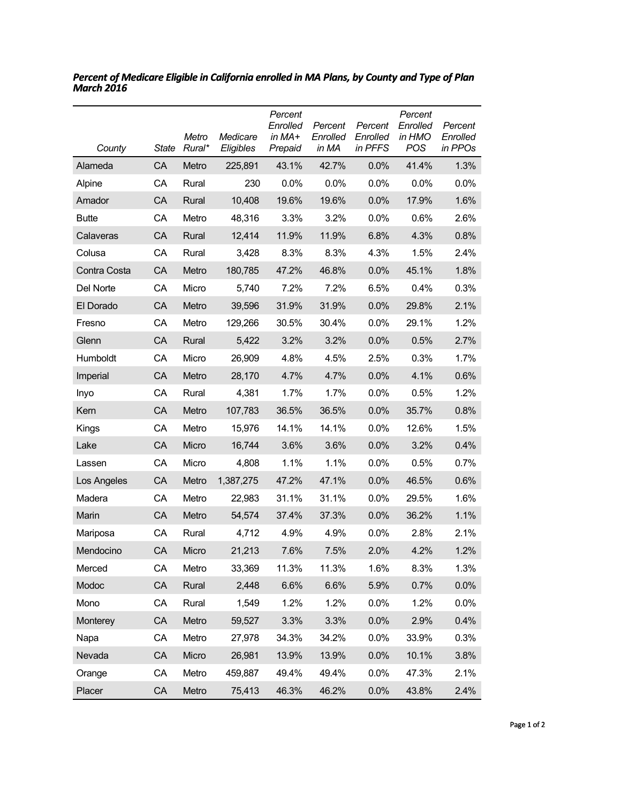| County       | <b>State</b> | Metro<br>Rural* | Medicare<br>Eligibles | Percent<br>Enrolled<br>in $MA+$<br>Prepaid | Percent<br>Enrolled<br>in MA | Percent<br>Enrolled<br>in PFFS | Percent<br>Enrolled<br>in HMO<br><b>POS</b> | Percent<br>Enrolled<br>in PPOs |
|--------------|--------------|-----------------|-----------------------|--------------------------------------------|------------------------------|--------------------------------|---------------------------------------------|--------------------------------|
| Alameda      | CA           | Metro           | 225,891               | 43.1%                                      | 42.7%                        | 0.0%                           | 41.4%                                       | 1.3%                           |
| Alpine       | CA           | Rural           | 230                   | $0.0\%$                                    | 0.0%                         | 0.0%                           | $0.0\%$                                     | 0.0%                           |
| Amador       | CA           | Rural           | 10,408                | 19.6%                                      | 19.6%                        | 0.0%                           | 17.9%                                       | 1.6%                           |
| <b>Butte</b> | CA           | Metro           | 48,316                | 3.3%                                       | 3.2%                         | 0.0%                           | 0.6%                                        | 2.6%                           |
| Calaveras    | CA           | Rural           | 12,414                | 11.9%                                      | 11.9%                        | 6.8%                           | 4.3%                                        | 0.8%                           |
| Colusa       | СA           | Rural           | 3,428                 | 8.3%                                       | 8.3%                         | 4.3%                           | 1.5%                                        | 2.4%                           |
| Contra Costa | CA           | Metro           | 180,785               | 47.2%                                      | 46.8%                        | 0.0%                           | 45.1%                                       | 1.8%                           |
| Del Norte    | CA           | Micro           | 5,740                 | 7.2%                                       | 7.2%                         | 6.5%                           | 0.4%                                        | 0.3%                           |
| El Dorado    | CA           | Metro           | 39,596                | 31.9%                                      | 31.9%                        | 0.0%                           | 29.8%                                       | 2.1%                           |
| Fresno       | CA           | Metro           | 129,266               | 30.5%                                      | 30.4%                        | 0.0%                           | 29.1%                                       | 1.2%                           |
| Glenn        | CA           | Rural           | 5,422                 | 3.2%                                       | 3.2%                         | 0.0%                           | 0.5%                                        | 2.7%                           |
| Humboldt     | СA           | Micro           | 26,909                | 4.8%                                       | 4.5%                         | 2.5%                           | 0.3%                                        | 1.7%                           |
| Imperial     | CA           | Metro           | 28,170                | 4.7%                                       | 4.7%                         | 0.0%                           | 4.1%                                        | 0.6%                           |
| Inyo         | СA           | Rural           | 4,381                 | 1.7%                                       | 1.7%                         | 0.0%                           | 0.5%                                        | 1.2%                           |
| Kern         | CA           | Metro           | 107,783               | 36.5%                                      | 36.5%                        | 0.0%                           | 35.7%                                       | 0.8%                           |
| Kings        | СA           | Metro           | 15,976                | 14.1%                                      | 14.1%                        | 0.0%                           | 12.6%                                       | 1.5%                           |
| Lake         | CA           | Micro           | 16,744                | 3.6%                                       | 3.6%                         | 0.0%                           | 3.2%                                        | 0.4%                           |
| Lassen       | СA           | Micro           | 4,808                 | 1.1%                                       | 1.1%                         | 0.0%                           | 0.5%                                        | 0.7%                           |
| Los Angeles  | CA           | Metro           | 1,387,275             | 47.2%                                      | 47.1%                        | 0.0%                           | 46.5%                                       | 0.6%                           |
| Madera       | CА           | Metro           | 22,983                | 31.1%                                      | 31.1%                        | 0.0%                           | 29.5%                                       | 1.6%                           |
| Marin        | CA           | Metro           | 54,574                | 37.4%                                      | 37.3%                        | 0.0%                           | 36.2%                                       | 1.1%                           |
| Mariposa     | СA           | Rural           | 4,712                 | 4.9%                                       | 4.9%                         | 0.0%                           | 2.8%                                        | 2.1%                           |
| Mendocino    | CA           | Micro           | 21,213                | 7.6%                                       | 7.5%                         | 2.0%                           | 4.2%                                        | 1.2%                           |
| Merced       | CA           | Metro           | 33,369                | 11.3%                                      | 11.3%                        | 1.6%                           | 8.3%                                        | 1.3%                           |
| Modoc        | CA           | Rural           | 2,448                 | 6.6%                                       | 6.6%                         | 5.9%                           | 0.7%                                        | 0.0%                           |
| Mono         | CA           | Rural           | 1,549                 | 1.2%                                       | 1.2%                         | 0.0%                           | 1.2%                                        | 0.0%                           |
| Monterey     | CA           | Metro           | 59,527                | 3.3%                                       | 3.3%                         | 0.0%                           | 2.9%                                        | 0.4%                           |
| Napa         | CA           | Metro           | 27,978                | 34.3%                                      | 34.2%                        | 0.0%                           | 33.9%                                       | 0.3%                           |
| Nevada       | CA           | Micro           | 26,981                | 13.9%                                      | 13.9%                        | 0.0%                           | 10.1%                                       | 3.8%                           |
| Orange       | CA           | Metro           | 459,887               | 49.4%                                      | 49.4%                        | 0.0%                           | 47.3%                                       | 2.1%                           |
| Placer       | CA           | Metro           | 75,413                | 46.3%                                      | 46.2%                        | 0.0%                           | 43.8%                                       | 2.4%                           |

*Percent of Medicare Eligible in California enrolled in MA Plans, by County and Type of Plan March 2016*